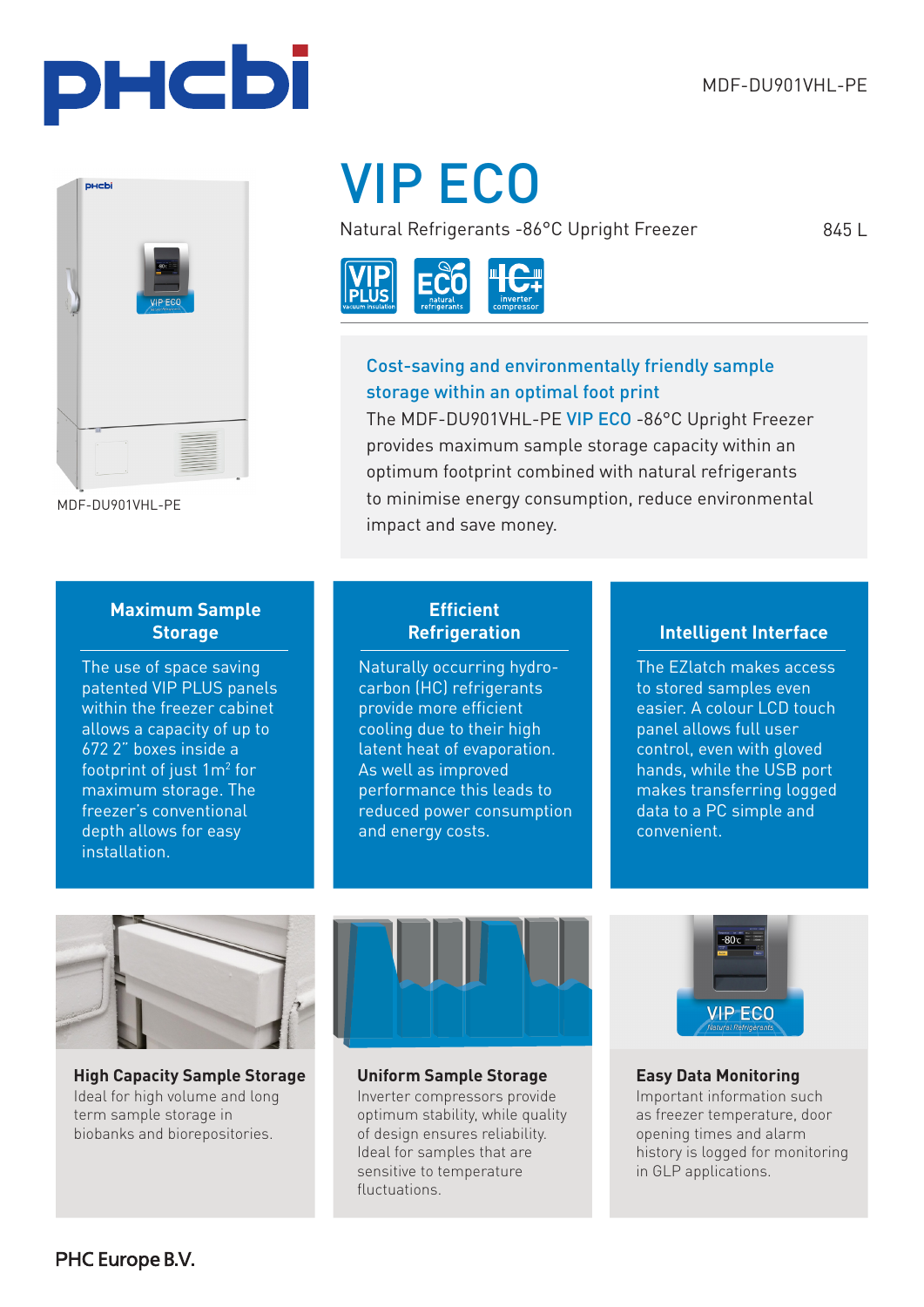845 L





MDF-DU901VHL-PE

# VIP ECO

Natural Refrigerants -86°C Upright Freezer



## Cost-saving and environmentally friendly sample storage within an optimal foot print

The MDF-DU901VHL-PE VIP ECO -86°C Upright Freezer provides maximum sample storage capacity within an optimum footprint combined with natural refrigerants to minimise energy consumption, reduce environmental impact and save money.

## **Maximum Sample Storage**

The use of space saving patented VIP PLUS panels within the freezer cabinet allows a capacity of up to 672 2" boxes inside a footprint of just  $1m^2$  for maximum storage. The freezer's conventional depth allows for easy installation.

## **Efficient Refrigeration**

Naturally occurring hydrocarbon (HC) refrigerants provide more efficient cooling due to their high latent heat of evaporation. As well as improved performance this leads to reduced power consumption and energy costs.

## **Intelligent Interface**

The EZlatch makes access to stored samples even easier. A colour LCD touch panel allows full user control, even with gloved hands, while the USB port makes transferring logged data to a PC simple and convenient.



**High Capacity Sample Storage Uniform Sample Storage** Ideal for high volume and long term sample storage in biobanks and biorepositories.



Inverter compressors provide optimum stability, while quality of design ensures reliability. Ideal for samples that are sensitive to temperature fluctuations.



### **Easy Data Monitoring**

Important information such as freezer temperature, door opening times and alarm history is logged for monitoring in GLP applications.